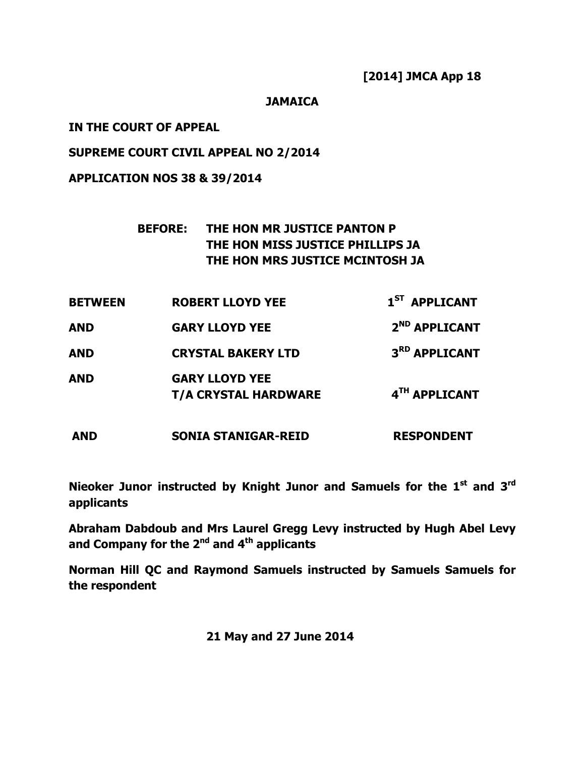[2014] JMCA App 18

# JAMAICA

# IN THE COURT OF APPEAL

# SUPREME COURT CIVIL APPEAL NO 2/2014

# APPLICATION NOS 38 & 39/2014

# BEFORE: THE HON MR JUSTICE PANTON P THE HON MISS JUSTICE PHILLIPS JA THE HON MRS JUSTICE MCINTOSH JA

| <b>BETWEEN</b> | <b>ROBERT LLOYD YEE</b>                              | 1 <sup>ST</sup> APPLICANT |
|----------------|------------------------------------------------------|---------------------------|
| <b>AND</b>     | <b>GARY LLOYD YEE</b>                                | 2 <sup>ND</sup> APPLICANT |
| <b>AND</b>     | <b>CRYSTAL BAKERY LTD</b>                            | 3RD APPLICANT             |
| <b>AND</b>     | <b>GARY LLOYD YEE</b><br><b>T/A CRYSTAL HARDWARE</b> | 4TH APPLICANT             |
| AND            | <b>SONIA STANIGAR-REID</b>                           | <b>RESPONDENT</b>         |

Nieoker Junor instructed by Knight Junor and Samuels for the 1<sup>st</sup> and 3<sup>rd</sup> applicants

Abraham Dabdoub and Mrs Laurel Gregg Levy instructed by Hugh Abel Levy and Company for the  $2^{nd}$  and  $4^{th}$  applicants

Norman Hill QC and Raymond Samuels instructed by Samuels Samuels for the respondent

21 May and 27 June 2014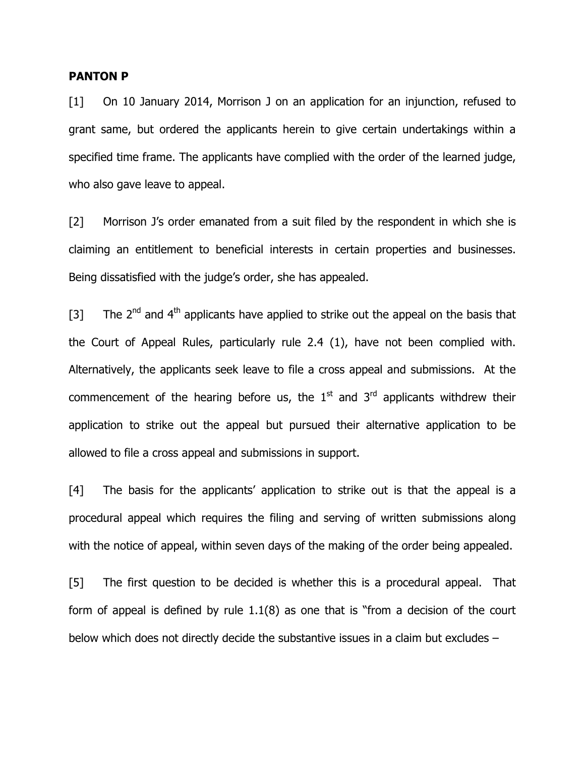#### PANTON P

[1] On 10 January 2014, Morrison J on an application for an injunction, refused to grant same, but ordered the applicants herein to give certain undertakings within a specified time frame. The applicants have complied with the order of the learned judge, who also gave leave to appeal.

[2] Morrison J's order emanated from a suit filed by the respondent in which she is claiming an entitlement to beneficial interests in certain properties and businesses. Being dissatisfied with the judge's order, she has appealed.

[3] The  $2^{nd}$  and  $4^{th}$  applicants have applied to strike out the appeal on the basis that the Court of Appeal Rules, particularly rule 2.4 (1), have not been complied with. Alternatively, the applicants seek leave to file a cross appeal and submissions. At the commencement of the hearing before us, the  $1<sup>st</sup>$  and  $3<sup>rd</sup>$  applicants withdrew their application to strike out the appeal but pursued their alternative application to be allowed to file a cross appeal and submissions in support.

[4] The basis for the applicants' application to strike out is that the appeal is a procedural appeal which requires the filing and serving of written submissions along with the notice of appeal, within seven days of the making of the order being appealed.

[5] The first question to be decided is whether this is a procedural appeal. That form of appeal is defined by rule 1.1(8) as one that is "from a decision of the court below which does not directly decide the substantive issues in a claim but excludes –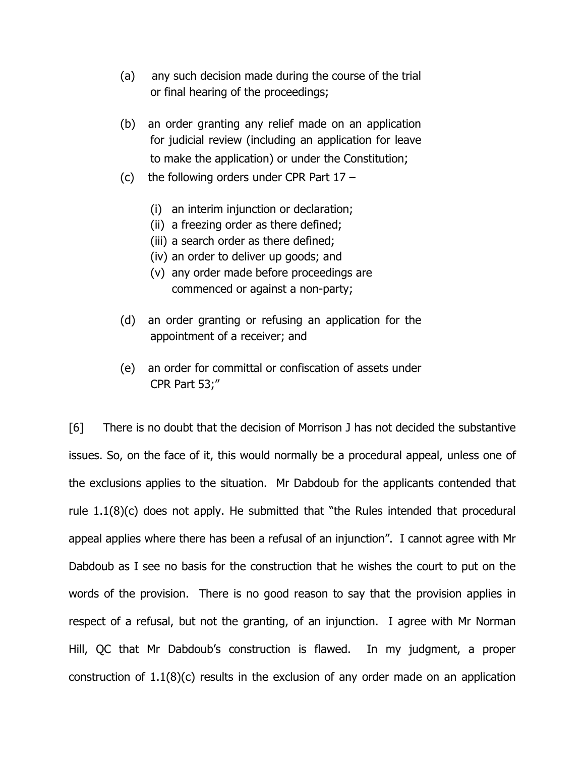- (a) any such decision made during the course of the trial or final hearing of the proceedings;
- (b) an order granting any relief made on an application for judicial review (including an application for leave to make the application) or under the Constitution;
- (c) the following orders under CPR Part 17
	- (i) an interim injunction or declaration;
	- (ii) a freezing order as there defined;
	- (iii) a search order as there defined;
	- (iv) an order to deliver up goods; and
	- (v) any order made before proceedings are commenced or against a non-party;
- (d) an order granting or refusing an application for the appointment of a receiver; and
- (e) an order for committal or confiscation of assets under CPR Part 53;"

[6] There is no doubt that the decision of Morrison J has not decided the substantive issues. So, on the face of it, this would normally be a procedural appeal, unless one of the exclusions applies to the situation. Mr Dabdoub for the applicants contended that rule 1.1(8)(c) does not apply. He submitted that "the Rules intended that procedural appeal applies where there has been a refusal of an injunction". I cannot agree with Mr Dabdoub as I see no basis for the construction that he wishes the court to put on the words of the provision. There is no good reason to say that the provision applies in respect of a refusal, but not the granting, of an injunction. I agree with Mr Norman Hill, QC that Mr Dabdoub's construction is flawed. In my judgment, a proper construction of 1.1(8)(c) results in the exclusion of any order made on an application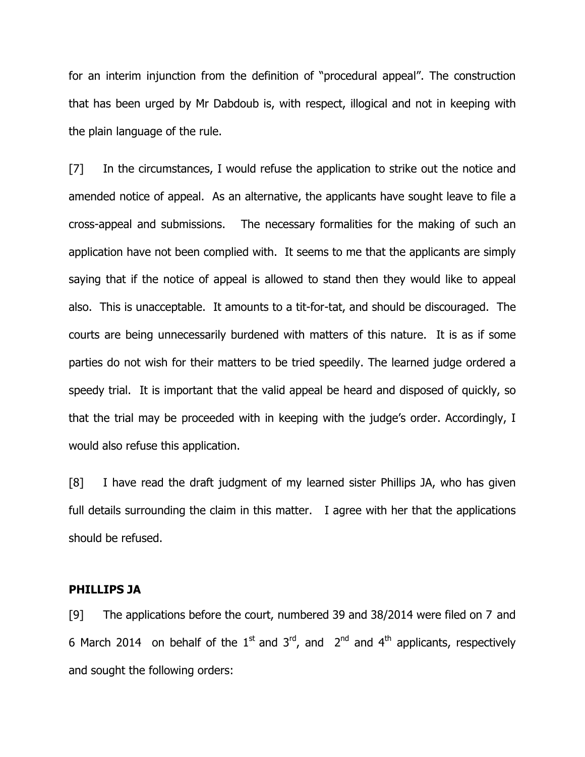for an interim injunction from the definition of "procedural appeal". The construction that has been urged by Mr Dabdoub is, with respect, illogical and not in keeping with the plain language of the rule.

[7] In the circumstances, I would refuse the application to strike out the notice and amended notice of appeal. As an alternative, the applicants have sought leave to file a cross-appeal and submissions. The necessary formalities for the making of such an application have not been complied with. It seems to me that the applicants are simply saying that if the notice of appeal is allowed to stand then they would like to appeal also. This is unacceptable. It amounts to a tit-for-tat, and should be discouraged. The courts are being unnecessarily burdened with matters of this nature. It is as if some parties do not wish for their matters to be tried speedily. The learned judge ordered a speedy trial. It is important that the valid appeal be heard and disposed of quickly, so that the trial may be proceeded with in keeping with the judge's order. Accordingly, I would also refuse this application.

[8] I have read the draft judgment of my learned sister Phillips JA, who has given full details surrounding the claim in this matter. I agree with her that the applications should be refused.

# PHILLIPS JA

[9] The applications before the court, numbered 39 and 38/2014 were filed on 7 and 6 March 2014 on behalf of the  $1<sup>st</sup>$  and  $3<sup>rd</sup>$ , and  $2<sup>nd</sup>$  and  $4<sup>th</sup>$  applicants, respectively and sought the following orders: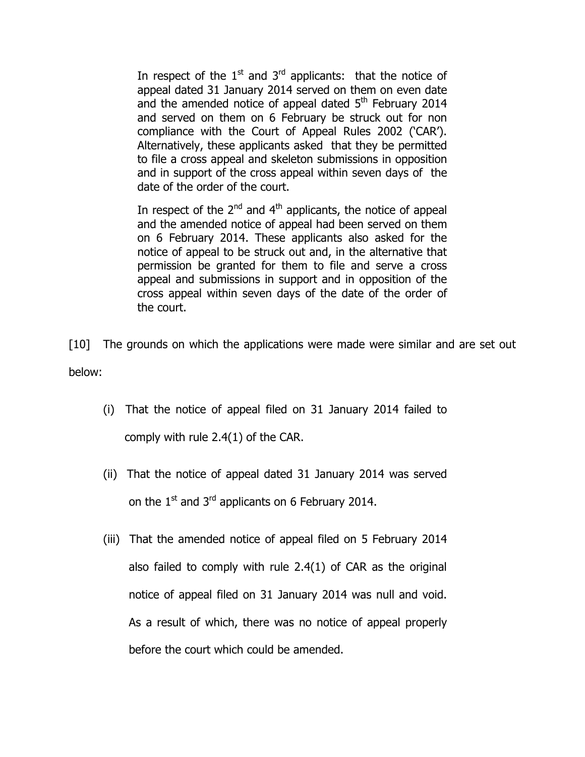In respect of the  $1<sup>st</sup>$  and  $3<sup>rd</sup>$  applicants: that the notice of appeal dated 31 January 2014 served on them on even date and the amended notice of appeal dated  $5<sup>th</sup>$  February 2014 and served on them on 6 February be struck out for non compliance with the Court of Appeal Rules 2002 ('CAR'). Alternatively, these applicants asked that they be permitted to file a cross appeal and skeleton submissions in opposition and in support of the cross appeal within seven days of the date of the order of the court.

In respect of the  $2<sup>nd</sup>$  and  $4<sup>th</sup>$  applicants, the notice of appeal and the amended notice of appeal had been served on them on 6 February 2014. These applicants also asked for the notice of appeal to be struck out and, in the alternative that permission be granted for them to file and serve a cross appeal and submissions in support and in opposition of the cross appeal within seven days of the date of the order of the court.

[10] The grounds on which the applications were made were similar and are set out below:

- (i) That the notice of appeal filed on 31 January 2014 failed to comply with rule 2.4(1) of the CAR.
- (ii) That the notice of appeal dated 31 January 2014 was served on the  $1^{\text{st}}$  and  $3^{\text{rd}}$  applicants on 6 February 2014.
- (iii) That the amended notice of appeal filed on 5 February 2014 also failed to comply with rule 2.4(1) of CAR as the original notice of appeal filed on 31 January 2014 was null and void. As a result of which, there was no notice of appeal properly before the court which could be amended.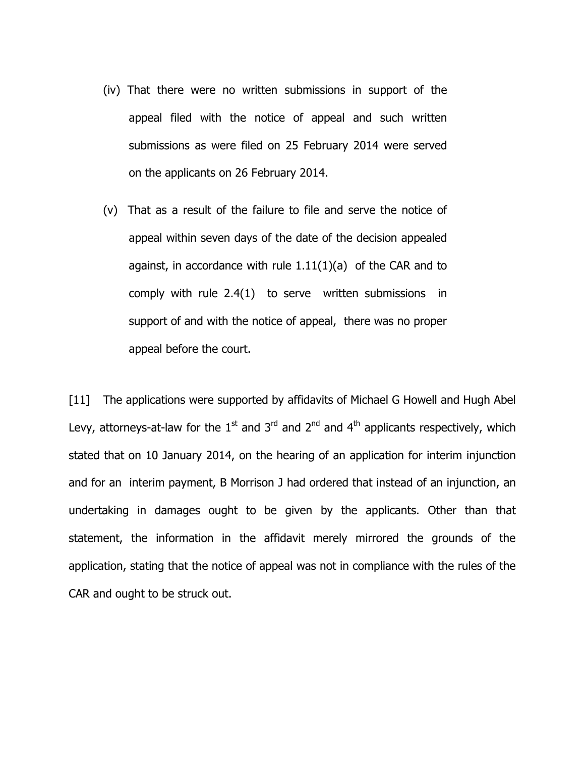- (iv) That there were no written submissions in support of the appeal filed with the notice of appeal and such written submissions as were filed on 25 February 2014 were served on the applicants on 26 February 2014.
- (v) That as a result of the failure to file and serve the notice of appeal within seven days of the date of the decision appealed against, in accordance with rule  $1.11(1)(a)$  of the CAR and to comply with rule 2.4(1) to serve written submissions in support of and with the notice of appeal, there was no proper appeal before the court.

[11] The applications were supported by affidavits of Michael G Howell and Hugh Abel Levy, attorneys-at-law for the  $1<sup>st</sup>$  and  $3<sup>rd</sup>$  and  $4<sup>th</sup>$  applicants respectively, which stated that on 10 January 2014, on the hearing of an application for interim injunction and for an interim payment, B Morrison J had ordered that instead of an injunction, an undertaking in damages ought to be given by the applicants. Other than that statement, the information in the affidavit merely mirrored the grounds of the application, stating that the notice of appeal was not in compliance with the rules of the CAR and ought to be struck out.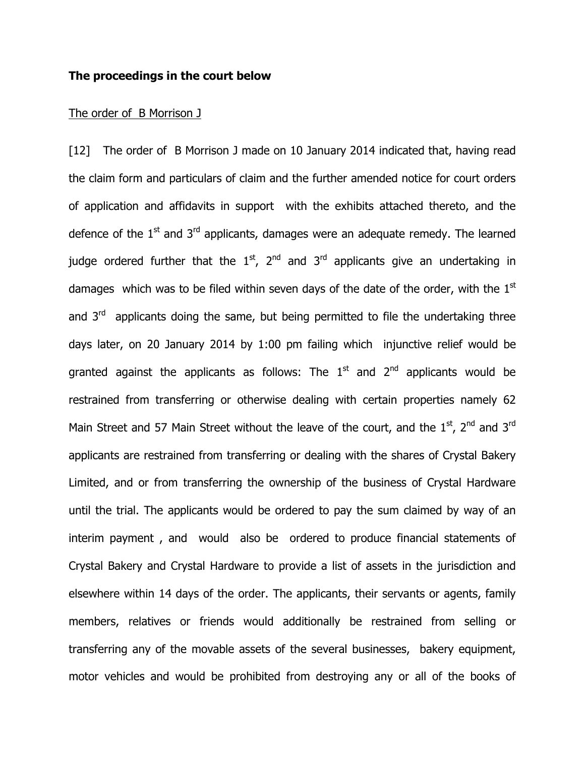### The proceedings in the court below

#### The order of B Morrison J

[12] The order of B Morrison J made on 10 January 2014 indicated that, having read the claim form and particulars of claim and the further amended notice for court orders of application and affidavits in support with the exhibits attached thereto, and the defence of the  $1<sup>st</sup>$  and  $3<sup>rd</sup>$  applicants, damages were an adequate remedy. The learned judge ordered further that the  $1<sup>st</sup>$ ,  $2<sup>nd</sup>$  and  $3<sup>rd</sup>$  applicants give an undertaking in damages which was to be filed within seven days of the date of the order, with the  $1<sup>st</sup>$ and  $3<sup>rd</sup>$  applicants doing the same, but being permitted to file the undertaking three days later, on 20 January 2014 by 1:00 pm failing which injunctive relief would be granted against the applicants as follows: The  $1<sup>st</sup>$  and  $2<sup>nd</sup>$  applicants would be restrained from transferring or otherwise dealing with certain properties namely 62 Main Street and 57 Main Street without the leave of the court, and the  $1<sup>st</sup>$ ,  $2<sup>nd</sup>$  and  $3<sup>rd</sup>$ applicants are restrained from transferring or dealing with the shares of Crystal Bakery Limited, and or from transferring the ownership of the business of Crystal Hardware until the trial. The applicants would be ordered to pay the sum claimed by way of an interim payment , and would also be ordered to produce financial statements of Crystal Bakery and Crystal Hardware to provide a list of assets in the jurisdiction and elsewhere within 14 days of the order. The applicants, their servants or agents, family members, relatives or friends would additionally be restrained from selling or transferring any of the movable assets of the several businesses, bakery equipment, motor vehicles and would be prohibited from destroying any or all of the books of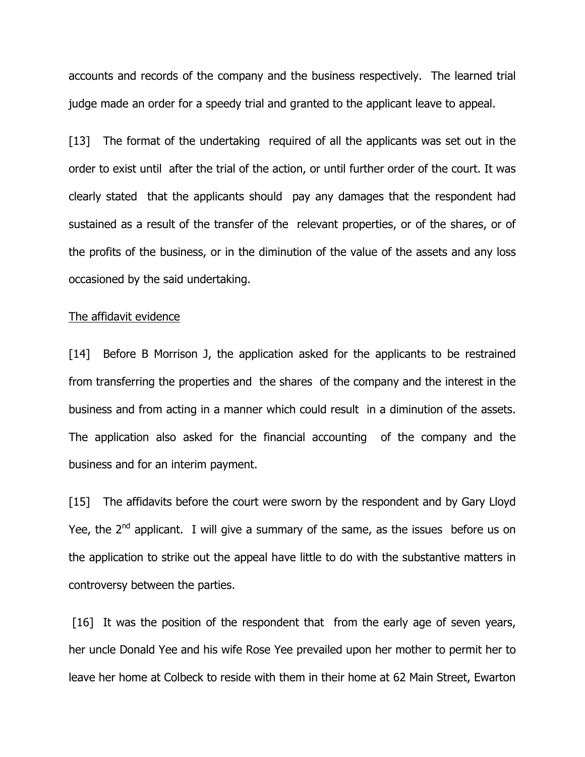accounts and records of the company and the business respectively. The learned trial judge made an order for a speedy trial and granted to the applicant leave to appeal.

[13] The format of the undertaking required of all the applicants was set out in the order to exist until after the trial of the action, or until further order of the court. It was clearly stated that the applicants should pay any damages that the respondent had sustained as a result of the transfer of the relevant properties, or of the shares, or of the profits of the business, or in the diminution of the value of the assets and any loss occasioned by the said undertaking.

### The affidavit evidence

[14] Before B Morrison J, the application asked for the applicants to be restrained from transferring the properties and the shares of the company and the interest in the business and from acting in a manner which could result in a diminution of the assets. The application also asked for the financial accounting of the company and the business and for an interim payment.

[15] The affidavits before the court were sworn by the respondent and by Gary Lloyd Yee, the  $2^{nd}$  applicant. I will give a summary of the same, as the issues before us on the application to strike out the appeal have little to do with the substantive matters in controversy between the parties.

[16] It was the position of the respondent that from the early age of seven years, her uncle Donald Yee and his wife Rose Yee prevailed upon her mother to permit her to leave her home at Colbeck to reside with them in their home at 62 Main Street, Ewarton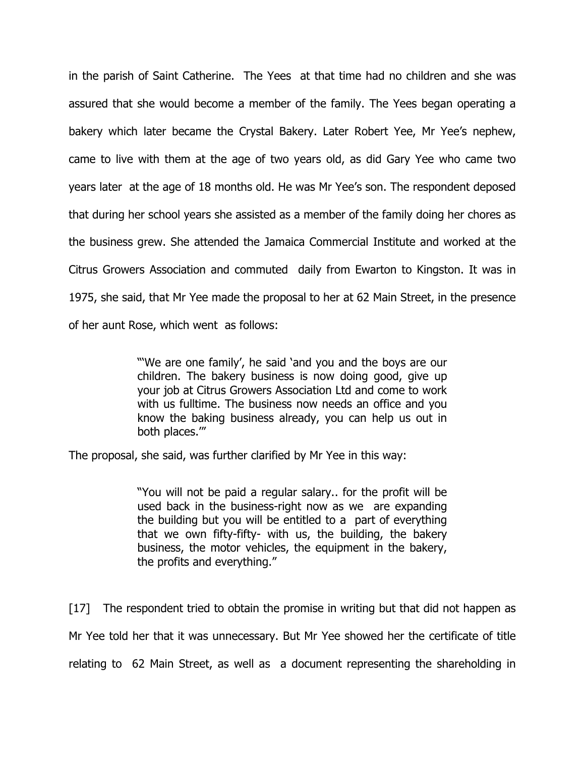in the parish of Saint Catherine. The Yees at that time had no children and she was assured that she would become a member of the family. The Yees began operating a bakery which later became the Crystal Bakery. Later Robert Yee, Mr Yee's nephew, came to live with them at the age of two years old, as did Gary Yee who came two years later at the age of 18 months old. He was Mr Yee's son. The respondent deposed that during her school years she assisted as a member of the family doing her chores as the business grew. She attended the Jamaica Commercial Institute and worked at the Citrus Growers Association and commuted daily from Ewarton to Kingston. It was in 1975, she said, that Mr Yee made the proposal to her at 62 Main Street, in the presence of her aunt Rose, which went as follows:

> "'We are one family', he said 'and you and the boys are our children. The bakery business is now doing good, give up your job at Citrus Growers Association Ltd and come to work with us fulltime. The business now needs an office and you know the baking business already, you can help us out in both places.'"

The proposal, she said, was further clarified by Mr Yee in this way:

"You will not be paid a regular salary.. for the profit will be used back in the business-right now as we are expanding the building but you will be entitled to a part of everything that we own fifty-fifty- with us, the building, the bakery business, the motor vehicles, the equipment in the bakery, the profits and everything."

[17] The respondent tried to obtain the promise in writing but that did not happen as Mr Yee told her that it was unnecessary. But Mr Yee showed her the certificate of title relating to 62 Main Street, as well as a document representing the shareholding in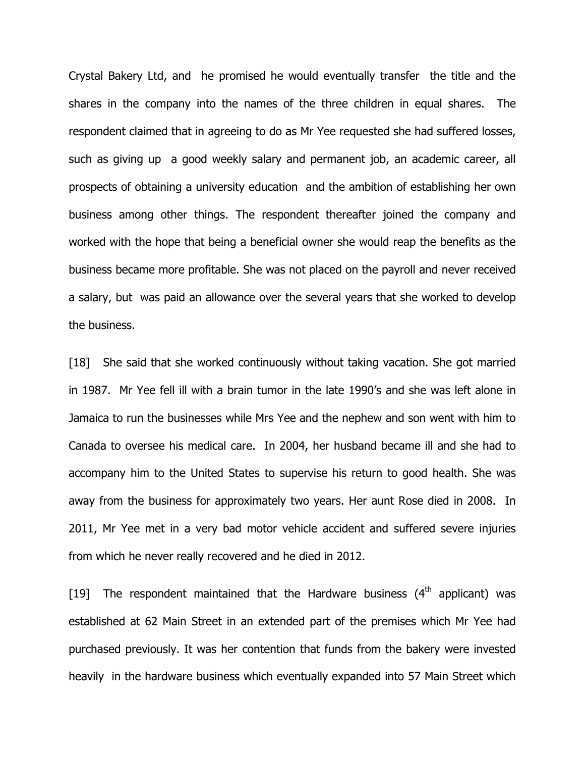Crystal Bakery Ltd, and he promised he would eventually transfer the title and the shares in the company into the names of the three children in equal shares. The respondent claimed that in agreeing to do as Mr Yee requested she had suffered losses, such as giving up a good weekly salary and permanent job, an academic career, all prospects of obtaining a university education and the ambition of establishing her own business among other things. The respondent thereafter joined the company and worked with the hope that being a beneficial owner she would reap the benefits as the business became more profitable. She was not placed on the payroll and never received a salary, but was paid an allowance over the several years that she worked to develop the business.

[18] She said that she worked continuously without taking vacation. She got married in 1987. Mr Yee fell ill with a brain tumor in the late 1990's and she was left alone in Jamaica to run the businesses while Mrs Yee and the nephew and son went with him to Canada to oversee his medical care. In 2004, her husband became ill and she had to accompany him to the United States to supervise his return to good health. She was away from the business for approximately two years. Her aunt Rose died in 2008. In 2011, Mr Yee met in a very bad motor vehicle accident and suffered severe injuries from which he never really recovered and he died in 2012.

[19] The respondent maintained that the Hardware business  $(4<sup>th</sup>$  applicant) was established at 62 Main Street in an extended part of the premises which Mr Yee had purchased previously. It was her contention that funds from the bakery were invested heavily in the hardware business which eventually expanded into 57 Main Street which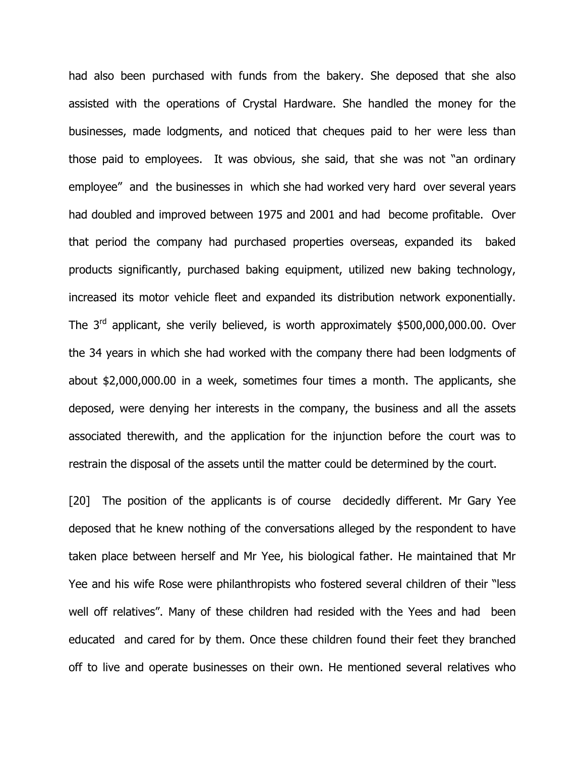had also been purchased with funds from the bakery. She deposed that she also assisted with the operations of Crystal Hardware. She handled the money for the businesses, made lodgments, and noticed that cheques paid to her were less than those paid to employees. It was obvious, she said, that she was not "an ordinary employee" and the businesses in which she had worked very hard over several years had doubled and improved between 1975 and 2001 and had become profitable. Over that period the company had purchased properties overseas, expanded its baked products significantly, purchased baking equipment, utilized new baking technology, increased its motor vehicle fleet and expanded its distribution network exponentially. The  $3<sup>rd</sup>$  applicant, she verily believed, is worth approximately \$500,000,000.00. Over the 34 years in which she had worked with the company there had been lodgments of about \$2,000,000.00 in a week, sometimes four times a month. The applicants, she deposed, were denying her interests in the company, the business and all the assets associated therewith, and the application for the injunction before the court was to restrain the disposal of the assets until the matter could be determined by the court.

[20] The position of the applicants is of course decidedly different. Mr Gary Yee deposed that he knew nothing of the conversations alleged by the respondent to have taken place between herself and Mr Yee, his biological father. He maintained that Mr Yee and his wife Rose were philanthropists who fostered several children of their "less well off relatives". Many of these children had resided with the Yees and had been educated and cared for by them. Once these children found their feet they branched off to live and operate businesses on their own. He mentioned several relatives who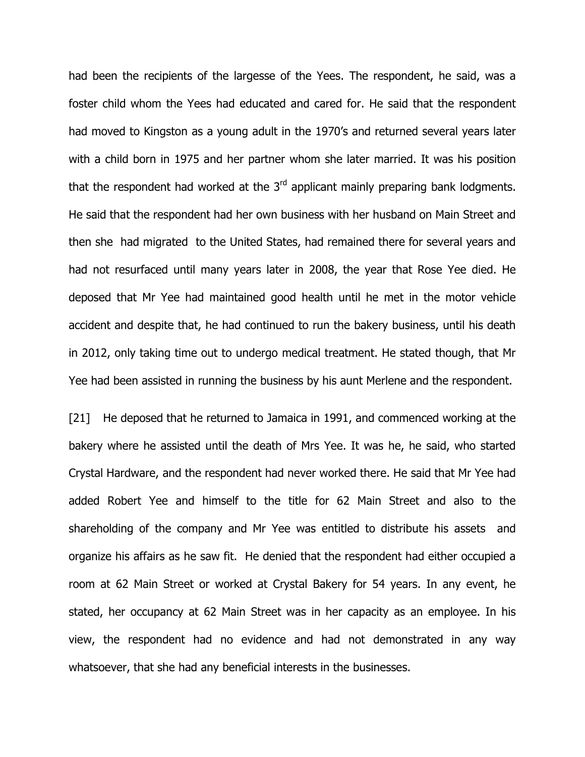had been the recipients of the largesse of the Yees. The respondent, he said, was a foster child whom the Yees had educated and cared for. He said that the respondent had moved to Kingston as a young adult in the 1970's and returned several years later with a child born in 1975 and her partner whom she later married. It was his position that the respondent had worked at the  $3<sup>rd</sup>$  applicant mainly preparing bank lodgments. He said that the respondent had her own business with her husband on Main Street and then she had migrated to the United States, had remained there for several years and had not resurfaced until many years later in 2008, the year that Rose Yee died. He deposed that Mr Yee had maintained good health until he met in the motor vehicle accident and despite that, he had continued to run the bakery business, until his death in 2012, only taking time out to undergo medical treatment. He stated though, that Mr Yee had been assisted in running the business by his aunt Merlene and the respondent.

[21] He deposed that he returned to Jamaica in 1991, and commenced working at the bakery where he assisted until the death of Mrs Yee. It was he, he said, who started Crystal Hardware, and the respondent had never worked there. He said that Mr Yee had added Robert Yee and himself to the title for 62 Main Street and also to the shareholding of the company and Mr Yee was entitled to distribute his assets and organize his affairs as he saw fit. He denied that the respondent had either occupied a room at 62 Main Street or worked at Crystal Bakery for 54 years. In any event, he stated, her occupancy at 62 Main Street was in her capacity as an employee. In his view, the respondent had no evidence and had not demonstrated in any way whatsoever, that she had any beneficial interests in the businesses.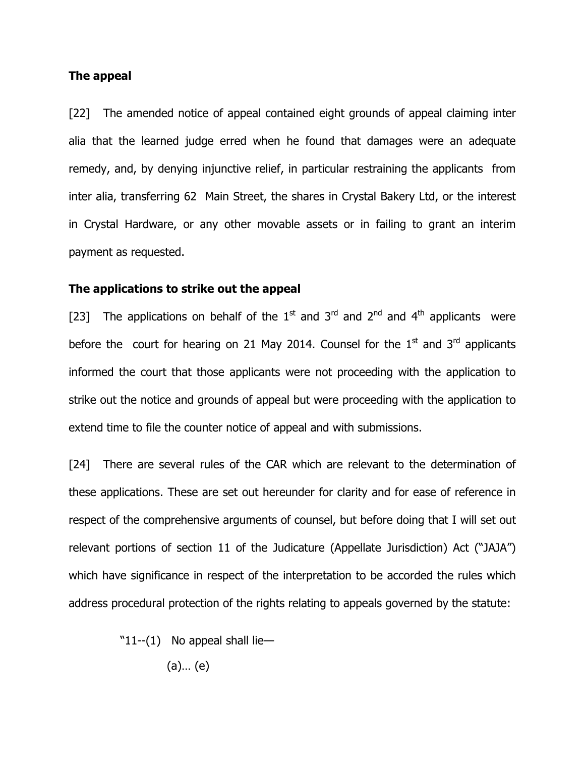## The appeal

[22] The amended notice of appeal contained eight grounds of appeal claiming inter alia that the learned judge erred when he found that damages were an adequate remedy, and, by denying injunctive relief, in particular restraining the applicants from inter alia, transferring 62 Main Street, the shares in Crystal Bakery Ltd, or the interest in Crystal Hardware, or any other movable assets or in failing to grant an interim payment as requested.

### The applications to strike out the appeal

[23] The applications on behalf of the  $1<sup>st</sup>$  and  $3<sup>rd</sup>$  and  $4<sup>th</sup>$  applicants were before the court for hearing on 21 May 2014. Counsel for the  $1<sup>st</sup>$  and  $3<sup>rd</sup>$  applicants informed the court that those applicants were not proceeding with the application to strike out the notice and grounds of appeal but were proceeding with the application to extend time to file the counter notice of appeal and with submissions.

[24] There are several rules of the CAR which are relevant to the determination of these applications. These are set out hereunder for clarity and for ease of reference in respect of the comprehensive arguments of counsel, but before doing that I will set out relevant portions of section 11 of the Judicature (Appellate Jurisdiction) Act ("JAJA") which have significance in respect of the interpretation to be accorded the rules which address procedural protection of the rights relating to appeals governed by the statute:

" $11-(1)$  No appeal shall lie—

(a)… (e)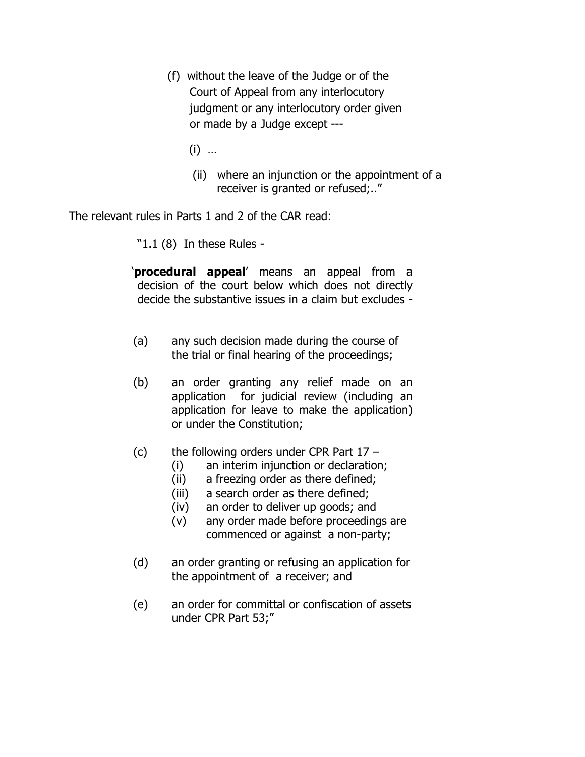- (f) without the leave of the Judge or of the Court of Appeal from any interlocutory judgment or any interlocutory order given or made by a Judge except ---
	- (i) …
	- (ii) where an injunction or the appointment of a receiver is granted or refused;.."

The relevant rules in Parts 1 and 2 of the CAR read:

"1.1 (8) In these Rules -

'procedural appeal' means an appeal from a decision of the court below which does not directly decide the substantive issues in a claim but excludes -

- (a) any such decision made during the course of the trial or final hearing of the proceedings;
- (b) an order granting any relief made on an application for judicial review (including an application for leave to make the application) or under the Constitution;
- (c) the following orders under CPR Part  $17 -$ 
	- (i) an interim injunction or declaration;
	- (ii) a freezing order as there defined;
	- (iii) a search order as there defined;
	- (iv) an order to deliver up goods; and
	- (v) any order made before proceedings are commenced or against a non-party;
- (d) an order granting or refusing an application for the appointment of a receiver; and
- (e) an order for committal or confiscation of assets under CPR Part 53;"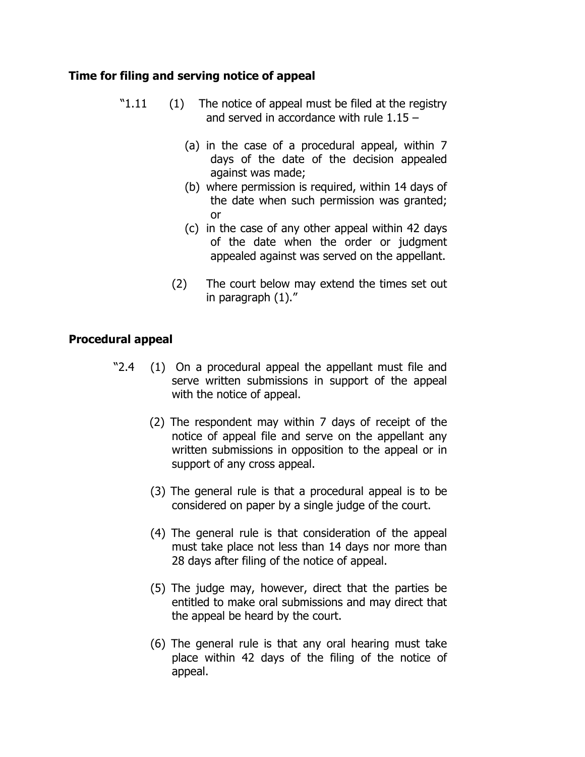# Time for filing and serving notice of appeal

- "1.11 (1) The notice of appeal must be filed at the registry and served in accordance with rule 1.15 –
	- (a) in the case of a procedural appeal, within 7 days of the date of the decision appealed against was made;
	- (b) where permission is required, within 14 days of the date when such permission was granted; or
	- (c) in the case of any other appeal within 42 days of the date when the order or judgment appealed against was served on the appellant.
	- (2) The court below may extend the times set out in paragraph (1)."

# Procedural appeal

- "2.4 (1) On a procedural appeal the appellant must file and serve written submissions in support of the appeal with the notice of appeal.
	- (2) The respondent may within 7 days of receipt of the notice of appeal file and serve on the appellant any written submissions in opposition to the appeal or in support of any cross appeal.
	- (3) The general rule is that a procedural appeal is to be considered on paper by a single judge of the court.
	- (4) The general rule is that consideration of the appeal must take place not less than 14 days nor more than 28 days after filing of the notice of appeal.
	- (5) The judge may, however, direct that the parties be entitled to make oral submissions and may direct that the appeal be heard by the court.
	- (6) The general rule is that any oral hearing must take place within 42 days of the filing of the notice of appeal.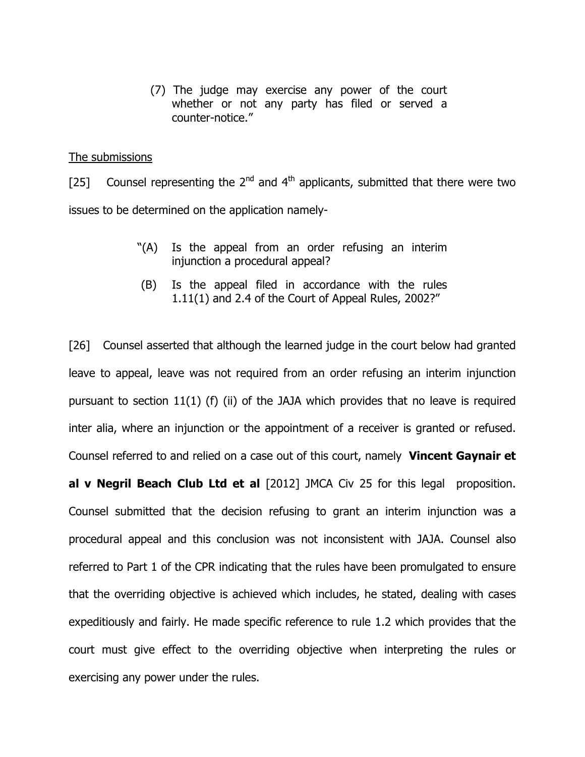(7) The judge may exercise any power of the court whether or not any party has filed or served a counter-notice."

### The submissions

[25] Counsel representing the  $2^{nd}$  and  $4^{th}$  applicants, submitted that there were two issues to be determined on the application namely-

- "(A) Is the appeal from an order refusing an interim injunction a procedural appeal?
- (B) Is the appeal filed in accordance with the rules 1.11(1) and 2.4 of the Court of Appeal Rules, 2002?"

[26] Counsel asserted that although the learned judge in the court below had granted leave to appeal, leave was not required from an order refusing an interim injunction pursuant to section 11(1) (f) (ii) of the JAJA which provides that no leave is required inter alia, where an injunction or the appointment of a receiver is granted or refused. Counsel referred to and relied on a case out of this court, namely **Vincent Gaynair et** al v Negril Beach Club Ltd et al [2012] JMCA Civ 25 for this legal proposition. Counsel submitted that the decision refusing to grant an interim injunction was a procedural appeal and this conclusion was not inconsistent with JAJA. Counsel also referred to Part 1 of the CPR indicating that the rules have been promulgated to ensure that the overriding objective is achieved which includes, he stated, dealing with cases expeditiously and fairly. He made specific reference to rule 1.2 which provides that the court must give effect to the overriding objective when interpreting the rules or exercising any power under the rules.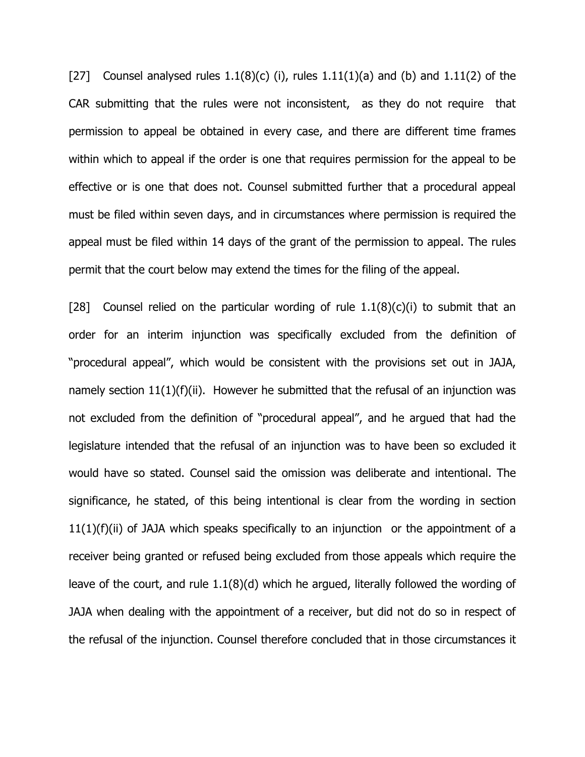[27] Counsel analysed rules  $1.1(8)(c)$  (i), rules  $1.11(1)(a)$  and (b) and  $1.11(2)$  of the CAR submitting that the rules were not inconsistent, as they do not require that permission to appeal be obtained in every case, and there are different time frames within which to appeal if the order is one that requires permission for the appeal to be effective or is one that does not. Counsel submitted further that a procedural appeal must be filed within seven days, and in circumstances where permission is required the appeal must be filed within 14 days of the grant of the permission to appeal. The rules permit that the court below may extend the times for the filing of the appeal.

[28] Counsel relied on the particular wording of rule  $1.1(8)(c)(i)$  to submit that an order for an interim injunction was specifically excluded from the definition of "procedural appeal", which would be consistent with the provisions set out in JAJA, namely section 11(1)(f)(ii). However he submitted that the refusal of an injunction was not excluded from the definition of "procedural appeal", and he argued that had the legislature intended that the refusal of an injunction was to have been so excluded it would have so stated. Counsel said the omission was deliberate and intentional. The significance, he stated, of this being intentional is clear from the wording in section 11(1)(f)(ii) of JAJA which speaks specifically to an injunction or the appointment of a receiver being granted or refused being excluded from those appeals which require the leave of the court, and rule 1.1(8)(d) which he argued, literally followed the wording of JAJA when dealing with the appointment of a receiver, but did not do so in respect of the refusal of the injunction. Counsel therefore concluded that in those circumstances it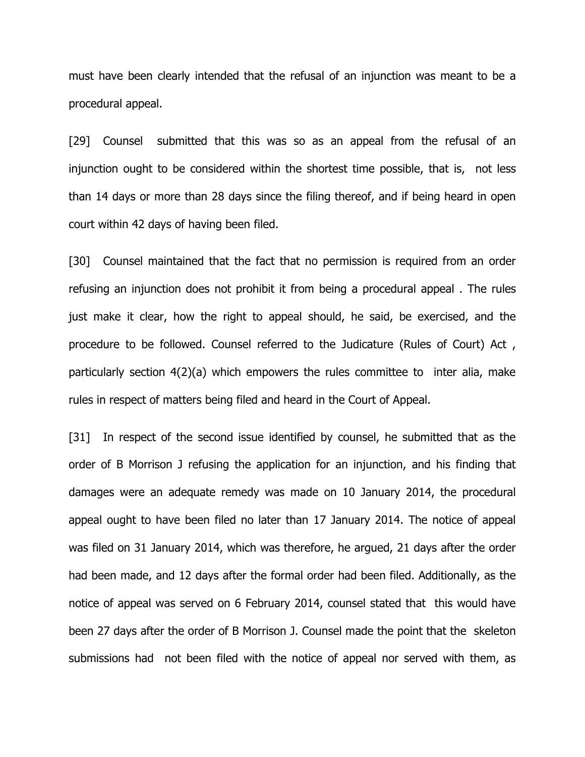must have been clearly intended that the refusal of an injunction was meant to be a procedural appeal.

[29] Counsel submitted that this was so as an appeal from the refusal of an injunction ought to be considered within the shortest time possible, that is, not less than 14 days or more than 28 days since the filing thereof, and if being heard in open court within 42 days of having been filed.

[30] Counsel maintained that the fact that no permission is required from an order refusing an injunction does not prohibit it from being a procedural appeal . The rules just make it clear, how the right to appeal should, he said, be exercised, and the procedure to be followed. Counsel referred to the Judicature (Rules of Court) Act , particularly section 4(2)(a) which empowers the rules committee to inter alia, make rules in respect of matters being filed and heard in the Court of Appeal.

[31] In respect of the second issue identified by counsel, he submitted that as the order of B Morrison J refusing the application for an injunction, and his finding that damages were an adequate remedy was made on 10 January 2014, the procedural appeal ought to have been filed no later than 17 January 2014. The notice of appeal was filed on 31 January 2014, which was therefore, he argued, 21 days after the order had been made, and 12 days after the formal order had been filed. Additionally, as the notice of appeal was served on 6 February 2014, counsel stated that this would have been 27 days after the order of B Morrison J. Counsel made the point that the skeleton submissions had not been filed with the notice of appeal nor served with them, as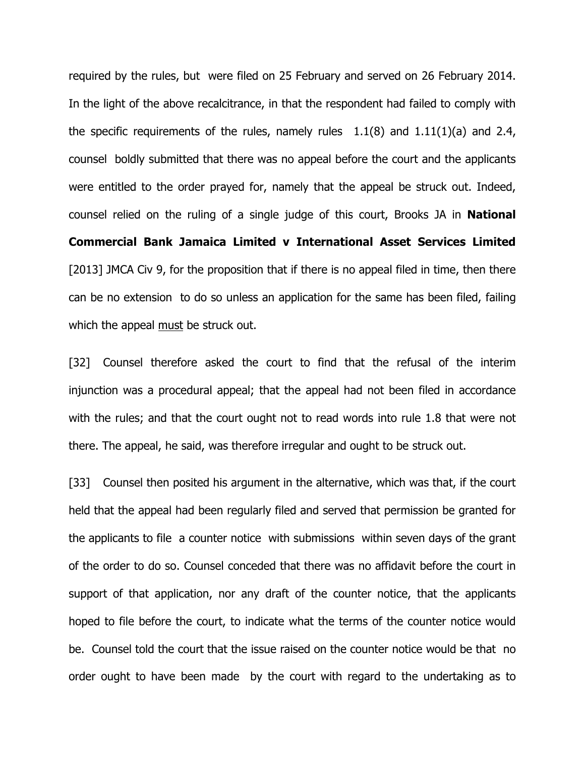required by the rules, but were filed on 25 February and served on 26 February 2014. In the light of the above recalcitrance, in that the respondent had failed to comply with the specific requirements of the rules, namely rules  $1.1(8)$  and  $1.11(1)(a)$  and 2.4, counsel boldly submitted that there was no appeal before the court and the applicants were entitled to the order prayed for, namely that the appeal be struck out. Indeed, counsel relied on the ruling of a single judge of this court, Brooks JA in **National** Commercial Bank Jamaica Limited v International Asset Services Limited [2013] JMCA Civ 9, for the proposition that if there is no appeal filed in time, then there can be no extension to do so unless an application for the same has been filed, failing which the appeal must be struck out.

[32] Counsel therefore asked the court to find that the refusal of the interim injunction was a procedural appeal; that the appeal had not been filed in accordance with the rules; and that the court ought not to read words into rule 1.8 that were not there. The appeal, he said, was therefore irregular and ought to be struck out.

[33] Counsel then posited his argument in the alternative, which was that, if the court held that the appeal had been regularly filed and served that permission be granted for the applicants to file a counter notice with submissions within seven days of the grant of the order to do so. Counsel conceded that there was no affidavit before the court in support of that application, nor any draft of the counter notice, that the applicants hoped to file before the court, to indicate what the terms of the counter notice would be. Counsel told the court that the issue raised on the counter notice would be that no order ought to have been made by the court with regard to the undertaking as to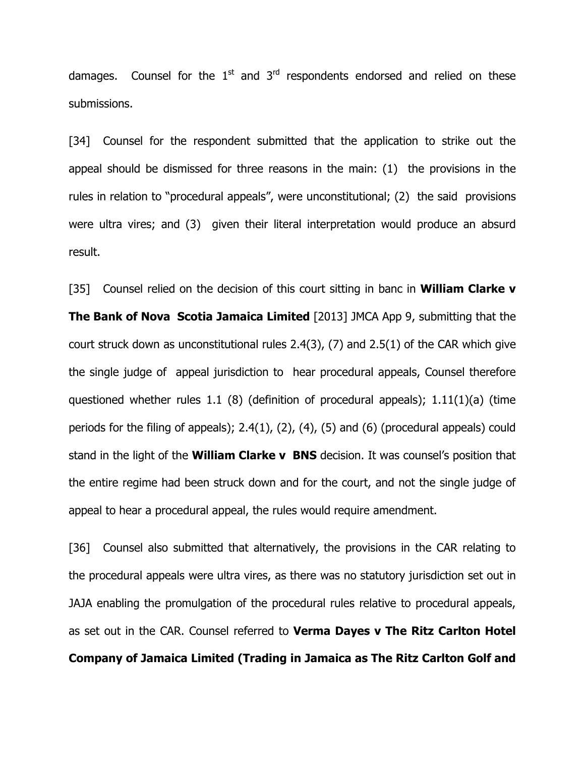damages. Counsel for the  $1<sup>st</sup>$  and  $3<sup>rd</sup>$  respondents endorsed and relied on these submissions.

[34] Counsel for the respondent submitted that the application to strike out the appeal should be dismissed for three reasons in the main: (1) the provisions in the rules in relation to "procedural appeals", were unconstitutional; (2) the said provisions were ultra vires; and (3) given their literal interpretation would produce an absurd result.

[35] Counsel relied on the decision of this court sitting in banc in **William Clarke v** The Bank of Nova Scotia Jamaica Limited [2013] JMCA App 9, submitting that the court struck down as unconstitutional rules 2.4(3), (7) and 2.5(1) of the CAR which give the single judge of appeal jurisdiction to hear procedural appeals, Counsel therefore questioned whether rules 1.1 (8) (definition of procedural appeals); 1.11(1)(a) (time periods for the filing of appeals); 2.4(1), (2), (4), (5) and (6) (procedural appeals) could stand in the light of the **William Clarke v BNS** decision. It was counsel's position that the entire regime had been struck down and for the court, and not the single judge of appeal to hear a procedural appeal, the rules would require amendment.

[36] Counsel also submitted that alternatively, the provisions in the CAR relating to the procedural appeals were ultra vires, as there was no statutory jurisdiction set out in JAJA enabling the promulgation of the procedural rules relative to procedural appeals, as set out in the CAR. Counsel referred to Verma Dayes v The Ritz Carlton Hotel Company of Jamaica Limited (Trading in Jamaica as The Ritz Carlton Golf and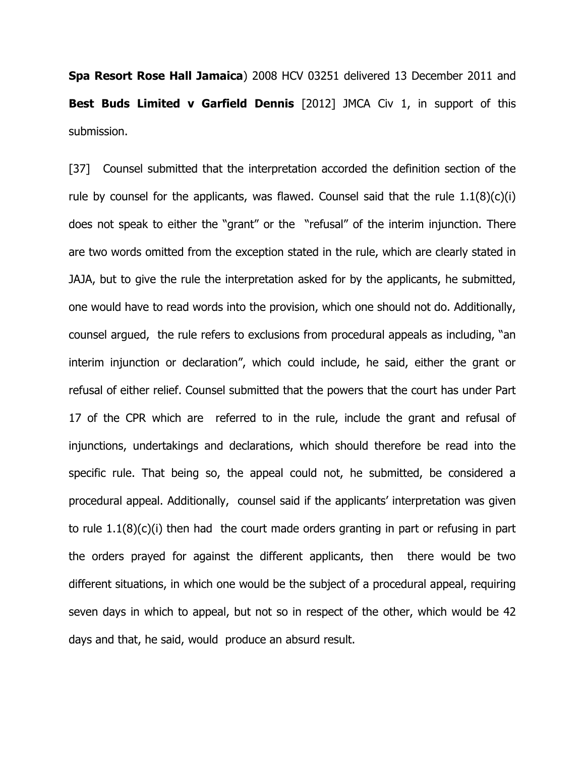Spa Resort Rose Hall Jamaica) 2008 HCV 03251 delivered 13 December 2011 and Best Buds Limited v Garfield Dennis [2012] JMCA Civ 1, in support of this submission.

[37] Counsel submitted that the interpretation accorded the definition section of the rule by counsel for the applicants, was flawed. Counsel said that the rule  $1.1(8)(c)(i)$ does not speak to either the "grant" or the "refusal" of the interim injunction. There are two words omitted from the exception stated in the rule, which are clearly stated in JAJA, but to give the rule the interpretation asked for by the applicants, he submitted, one would have to read words into the provision, which one should not do. Additionally, counsel argued, the rule refers to exclusions from procedural appeals as including, "an interim injunction or declaration", which could include, he said, either the grant or refusal of either relief. Counsel submitted that the powers that the court has under Part 17 of the CPR which are referred to in the rule, include the grant and refusal of injunctions, undertakings and declarations, which should therefore be read into the specific rule. That being so, the appeal could not, he submitted, be considered a procedural appeal. Additionally, counsel said if the applicants' interpretation was given to rule 1.1(8)(c)(i) then had the court made orders granting in part or refusing in part the orders prayed for against the different applicants, then there would be two different situations, in which one would be the subject of a procedural appeal, requiring seven days in which to appeal, but not so in respect of the other, which would be 42 days and that, he said, would produce an absurd result.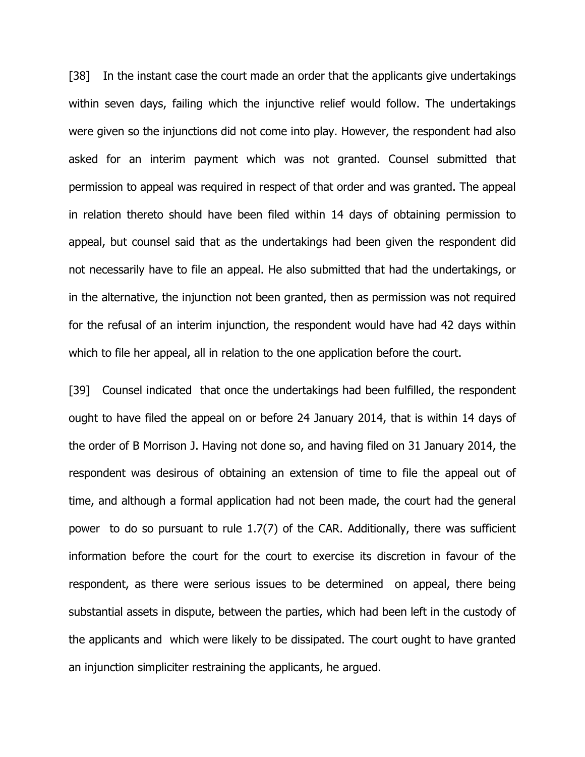[38] In the instant case the court made an order that the applicants give undertakings within seven days, failing which the injunctive relief would follow. The undertakings were given so the injunctions did not come into play. However, the respondent had also asked for an interim payment which was not granted. Counsel submitted that permission to appeal was required in respect of that order and was granted. The appeal in relation thereto should have been filed within 14 days of obtaining permission to appeal, but counsel said that as the undertakings had been given the respondent did not necessarily have to file an appeal. He also submitted that had the undertakings, or in the alternative, the injunction not been granted, then as permission was not required for the refusal of an interim injunction, the respondent would have had 42 days within which to file her appeal, all in relation to the one application before the court.

[39] Counsel indicated that once the undertakings had been fulfilled, the respondent ought to have filed the appeal on or before 24 January 2014, that is within 14 days of the order of B Morrison J. Having not done so, and having filed on 31 January 2014, the respondent was desirous of obtaining an extension of time to file the appeal out of time, and although a formal application had not been made, the court had the general power to do so pursuant to rule 1.7(7) of the CAR. Additionally, there was sufficient information before the court for the court to exercise its discretion in favour of the respondent, as there were serious issues to be determined on appeal, there being substantial assets in dispute, between the parties, which had been left in the custody of the applicants and which were likely to be dissipated. The court ought to have granted an injunction simpliciter restraining the applicants, he argued.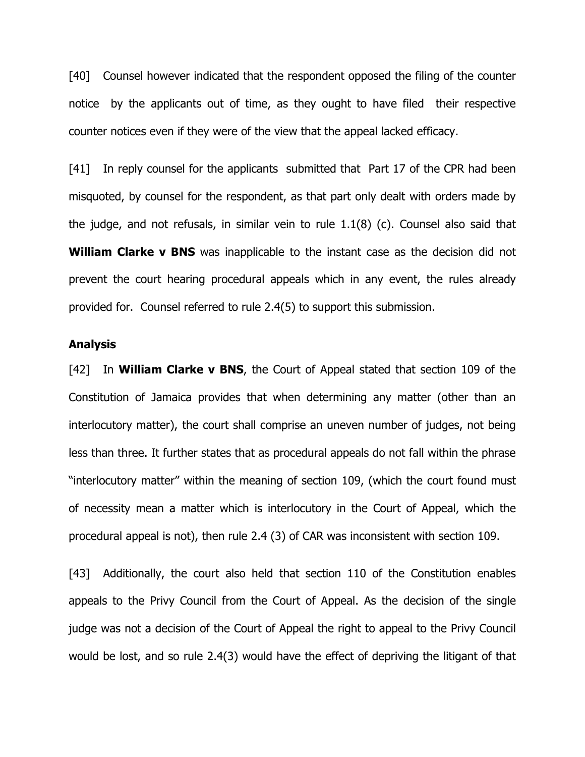[40] Counsel however indicated that the respondent opposed the filing of the counter notice by the applicants out of time, as they ought to have filed their respective counter notices even if they were of the view that the appeal lacked efficacy.

[41] In reply counsel for the applicants submitted that Part 17 of the CPR had been misquoted, by counsel for the respondent, as that part only dealt with orders made by the judge, and not refusals, in similar vein to rule 1.1(8) (c). Counsel also said that William Clarke v BNS was inapplicable to the instant case as the decision did not prevent the court hearing procedural appeals which in any event, the rules already provided for. Counsel referred to rule 2.4(5) to support this submission.

### Analysis

[42] In **William Clarke v BNS**, the Court of Appeal stated that section 109 of the Constitution of Jamaica provides that when determining any matter (other than an interlocutory matter), the court shall comprise an uneven number of judges, not being less than three. It further states that as procedural appeals do not fall within the phrase "interlocutory matter" within the meaning of section 109, (which the court found must of necessity mean a matter which is interlocutory in the Court of Appeal, which the procedural appeal is not), then rule 2.4 (3) of CAR was inconsistent with section 109.

[43] Additionally, the court also held that section 110 of the Constitution enables appeals to the Privy Council from the Court of Appeal. As the decision of the single judge was not a decision of the Court of Appeal the right to appeal to the Privy Council would be lost, and so rule 2.4(3) would have the effect of depriving the litigant of that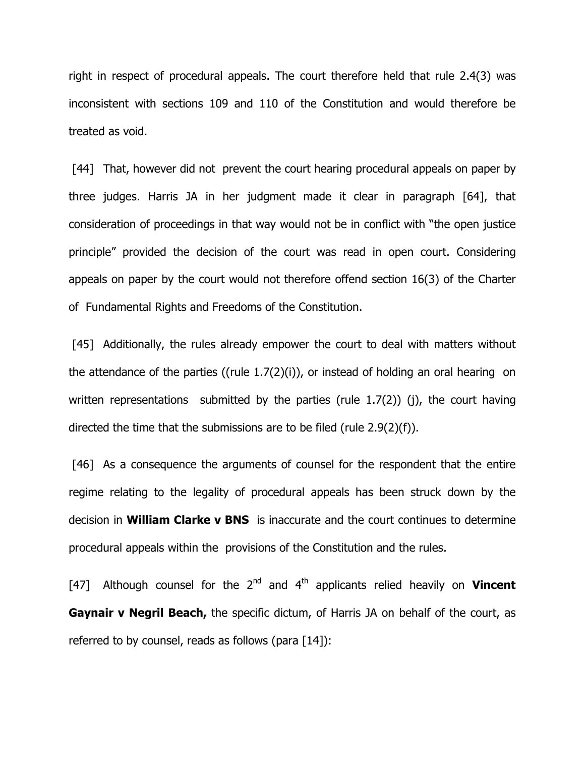right in respect of procedural appeals. The court therefore held that rule 2.4(3) was inconsistent with sections 109 and 110 of the Constitution and would therefore be treated as void.

[44] That, however did not prevent the court hearing procedural appeals on paper by three judges. Harris JA in her judgment made it clear in paragraph [64], that consideration of proceedings in that way would not be in conflict with "the open justice principle" provided the decision of the court was read in open court. Considering appeals on paper by the court would not therefore offend section 16(3) of the Charter of Fundamental Rights and Freedoms of the Constitution.

[45] Additionally, the rules already empower the court to deal with matters without the attendance of the parties ((rule 1.7(2)(i)), or instead of holding an oral hearing on written representations submitted by the parties (rule 1.7(2)) (j), the court having directed the time that the submissions are to be filed (rule 2.9(2)(f)).

[46] As a consequence the arguments of counsel for the respondent that the entire regime relating to the legality of procedural appeals has been struck down by the decision in William Clarke v BNS is inaccurate and the court continues to determine procedural appeals within the provisions of the Constitution and the rules.

[47] Although counsel for the  $2^{nd}$  and  $4^{th}$  applicants relied heavily on **Vincent Gaynair v Negril Beach,** the specific dictum, of Harris JA on behalf of the court, as referred to by counsel, reads as follows (para [14]):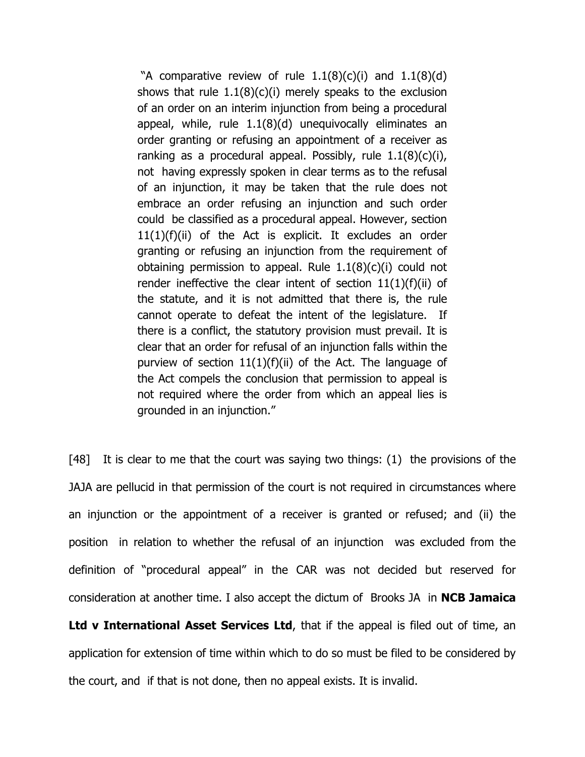"A comparative review of rule  $1.1(8)(c)(i)$  and  $1.1(8)(d)$ shows that rule  $1.1(8)(c)(i)$  merely speaks to the exclusion of an order on an interim injunction from being a procedural appeal, while, rule 1.1(8)(d) unequivocally eliminates an order granting or refusing an appointment of a receiver as ranking as a procedural appeal. Possibly, rule  $1.1(8)(c)(i)$ , not having expressly spoken in clear terms as to the refusal of an injunction, it may be taken that the rule does not embrace an order refusing an injunction and such order could be classified as a procedural appeal. However, section  $11(1)(f)(ii)$  of the Act is explicit. It excludes an order granting or refusing an injunction from the requirement of obtaining permission to appeal. Rule  $1.1(8)(c)(i)$  could not render ineffective the clear intent of section  $11(1)(f)(ii)$  of the statute, and it is not admitted that there is, the rule cannot operate to defeat the intent of the legislature. If there is a conflict, the statutory provision must prevail. It is clear that an order for refusal of an injunction falls within the purview of section  $11(1)(f)(ii)$  of the Act. The language of the Act compels the conclusion that permission to appeal is not required where the order from which an appeal lies is grounded in an injunction."

[48] It is clear to me that the court was saying two things: (1) the provisions of the JAJA are pellucid in that permission of the court is not required in circumstances where an injunction or the appointment of a receiver is granted or refused; and (ii) the position in relation to whether the refusal of an injunction was excluded from the definition of "procedural appeal" in the CAR was not decided but reserved for consideration at another time. I also accept the dictum of Brooks JA in NCB Jamaica

Ltd v International Asset Services Ltd, that if the appeal is filed out of time, an application for extension of time within which to do so must be filed to be considered by the court, and if that is not done, then no appeal exists. It is invalid.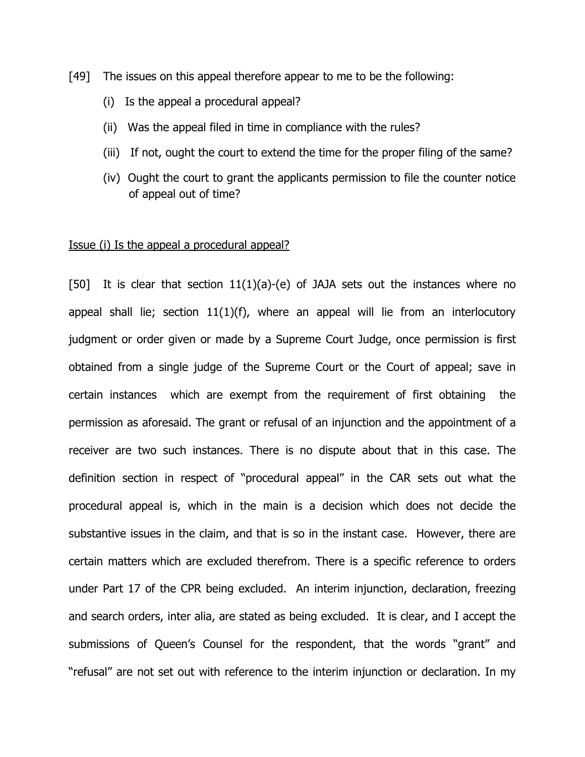[49] The issues on this appeal therefore appear to me to be the following:

- (i) Is the appeal a procedural appeal?
- (ii) Was the appeal filed in time in compliance with the rules?
- (iii) If not, ought the court to extend the time for the proper filing of the same?
- (iv) Ought the court to grant the applicants permission to file the counter notice of appeal out of time?

#### Issue (i) Is the appeal a procedural appeal?

[50] It is clear that section  $11(1)(a)-(e)$  of JAJA sets out the instances where no appeal shall lie; section  $11(1)(f)$ , where an appeal will lie from an interlocutory judgment or order given or made by a Supreme Court Judge, once permission is first obtained from a single judge of the Supreme Court or the Court of appeal; save in certain instances which are exempt from the requirement of first obtaining the permission as aforesaid. The grant or refusal of an injunction and the appointment of a receiver are two such instances. There is no dispute about that in this case. The definition section in respect of "procedural appeal" in the CAR sets out what the procedural appeal is, which in the main is a decision which does not decide the substantive issues in the claim, and that is so in the instant case. However, there are certain matters which are excluded therefrom. There is a specific reference to orders under Part 17 of the CPR being excluded. An interim injunction, declaration, freezing and search orders, inter alia, are stated as being excluded. It is clear, and I accept the submissions of Queen's Counsel for the respondent, that the words "grant" and "refusal" are not set out with reference to the interim injunction or declaration. In my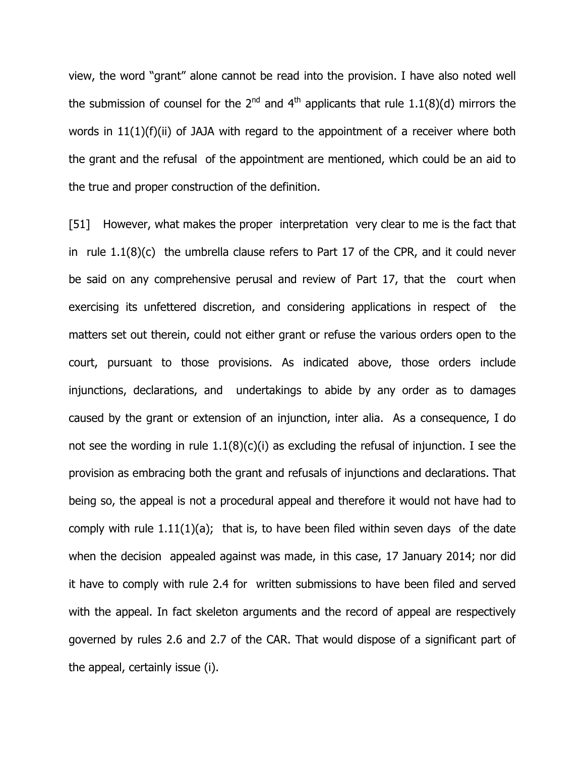view, the word "grant" alone cannot be read into the provision. I have also noted well the submission of counsel for the  $2^{nd}$  and  $4^{th}$  applicants that rule 1.1(8)(d) mirrors the words in 11(1)(f)(ii) of JAJA with regard to the appointment of a receiver where both the grant and the refusal of the appointment are mentioned, which could be an aid to the true and proper construction of the definition.

[51] However, what makes the proper interpretation very clear to me is the fact that in rule 1.1(8)(c) the umbrella clause refers to Part 17 of the CPR, and it could never be said on any comprehensive perusal and review of Part 17, that the court when exercising its unfettered discretion, and considering applications in respect of the matters set out therein, could not either grant or refuse the various orders open to the court, pursuant to those provisions. As indicated above, those orders include injunctions, declarations, and undertakings to abide by any order as to damages caused by the grant or extension of an injunction, inter alia. As a consequence, I do not see the wording in rule  $1.1(8)(c)(i)$  as excluding the refusal of injunction. I see the provision as embracing both the grant and refusals of injunctions and declarations. That being so, the appeal is not a procedural appeal and therefore it would not have had to comply with rule  $1.11(1)(a)$ ; that is, to have been filed within seven days of the date when the decision appealed against was made, in this case, 17 January 2014; nor did it have to comply with rule 2.4 for written submissions to have been filed and served with the appeal. In fact skeleton arguments and the record of appeal are respectively governed by rules 2.6 and 2.7 of the CAR. That would dispose of a significant part of the appeal, certainly issue (i).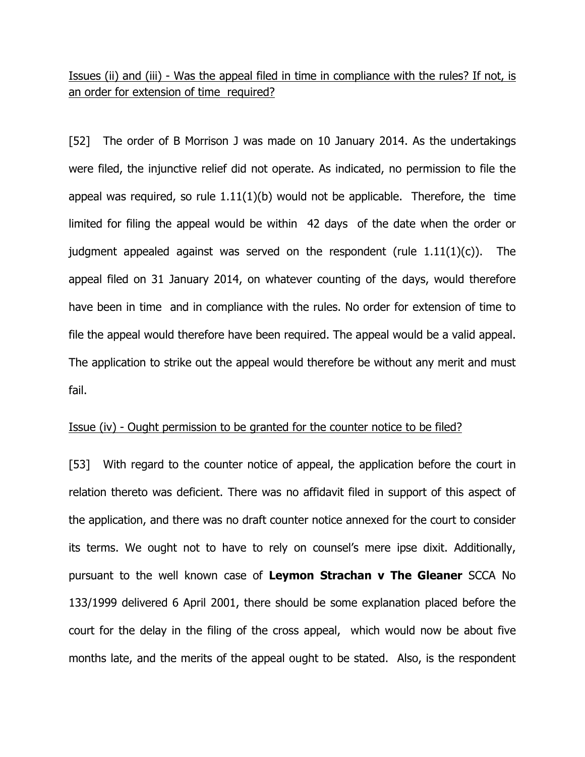Issues (ii) and (iii) - Was the appeal filed in time in compliance with the rules? If not, is an order for extension of time required?

[52] The order of B Morrison J was made on 10 January 2014. As the undertakings were filed, the injunctive relief did not operate. As indicated, no permission to file the appeal was required, so rule  $1.11(1)(b)$  would not be applicable. Therefore, the time limited for filing the appeal would be within 42 days of the date when the order or judgment appealed against was served on the respondent (rule  $1.11(1)(c)$ ). The appeal filed on 31 January 2014, on whatever counting of the days, would therefore have been in time and in compliance with the rules. No order for extension of time to file the appeal would therefore have been required. The appeal would be a valid appeal. The application to strike out the appeal would therefore be without any merit and must fail.

## Issue (iv) - Ought permission to be granted for the counter notice to be filed?

[53] With regard to the counter notice of appeal, the application before the court in relation thereto was deficient. There was no affidavit filed in support of this aspect of the application, and there was no draft counter notice annexed for the court to consider its terms. We ought not to have to rely on counsel's mere ipse dixit. Additionally, pursuant to the well known case of Leymon Strachan v The Gleaner SCCA No 133/1999 delivered 6 April 2001, there should be some explanation placed before the court for the delay in the filing of the cross appeal, which would now be about five months late, and the merits of the appeal ought to be stated. Also, is the respondent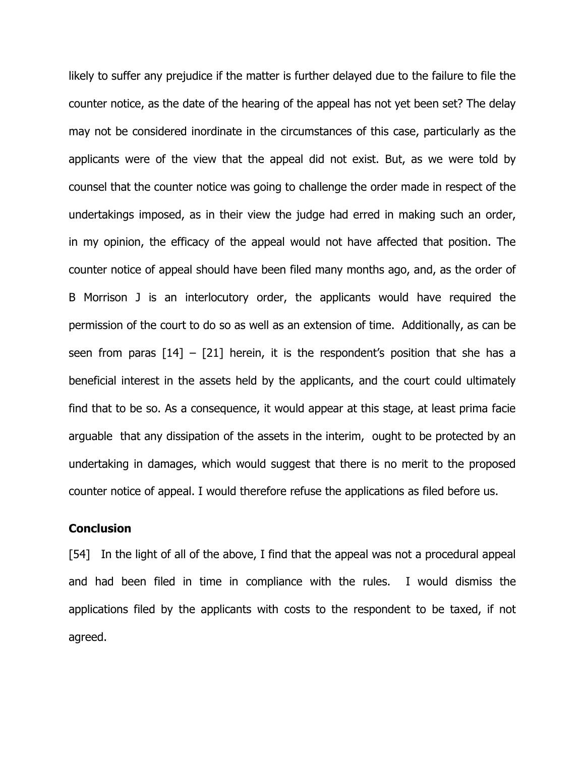likely to suffer any prejudice if the matter is further delayed due to the failure to file the counter notice, as the date of the hearing of the appeal has not yet been set? The delay may not be considered inordinate in the circumstances of this case, particularly as the applicants were of the view that the appeal did not exist. But, as we were told by counsel that the counter notice was going to challenge the order made in respect of the undertakings imposed, as in their view the judge had erred in making such an order, in my opinion, the efficacy of the appeal would not have affected that position. The counter notice of appeal should have been filed many months ago, and, as the order of B Morrison J is an interlocutory order, the applicants would have required the permission of the court to do so as well as an extension of time. Additionally, as can be seen from paras  $[14] - [21]$  herein, it is the respondent's position that she has a beneficial interest in the assets held by the applicants, and the court could ultimately find that to be so. As a consequence, it would appear at this stage, at least prima facie arguable that any dissipation of the assets in the interim, ought to be protected by an undertaking in damages, which would suggest that there is no merit to the proposed counter notice of appeal. I would therefore refuse the applications as filed before us.

### **Conclusion**

[54] In the light of all of the above, I find that the appeal was not a procedural appeal and had been filed in time in compliance with the rules. I would dismiss the applications filed by the applicants with costs to the respondent to be taxed, if not agreed.